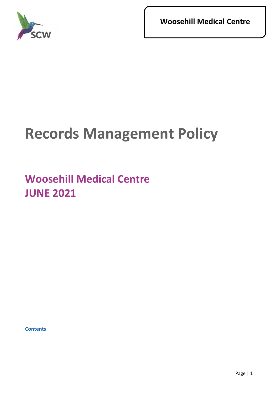

**Woosehill Medical Centre**

# **Records Management Policy**

# **Woosehill Medical Centre JUNE 2021**

**Contents**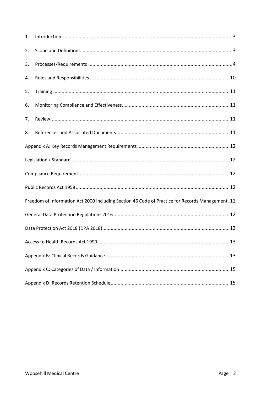| 1.                                                                                               |  |  |
|--------------------------------------------------------------------------------------------------|--|--|
| 2.                                                                                               |  |  |
| 3.                                                                                               |  |  |
| 4.                                                                                               |  |  |
| 5.                                                                                               |  |  |
| 6.                                                                                               |  |  |
| 7.                                                                                               |  |  |
| 8.                                                                                               |  |  |
|                                                                                                  |  |  |
|                                                                                                  |  |  |
|                                                                                                  |  |  |
|                                                                                                  |  |  |
| Freedom of Information Act 2000 including Section 46 Code of Practice for Records Management. 12 |  |  |
|                                                                                                  |  |  |
|                                                                                                  |  |  |
| .13                                                                                              |  |  |
|                                                                                                  |  |  |
|                                                                                                  |  |  |
|                                                                                                  |  |  |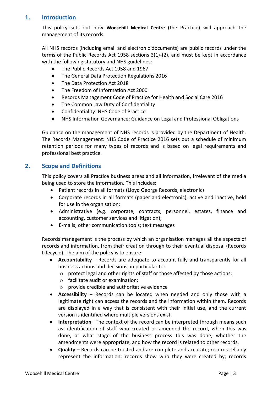#### **1. Introduction**

<span id="page-2-0"></span>This policy sets out how **Woosehill Medical Centre** (the Practice) will approach the management of its records.

All NHS records (including email and electronic documents) are public records under the terms of the Public Records Act 1958 sections 3(1)-(2), and must be kept in accordance with the following statutory and NHS guidelines:

- The Public Records Act 1958 and 1967
- The General Data Protection Regulations 2016
- The Data Protection Act 2018
- The Freedom of Information Act 2000
- Records Management Code of Practice for Health and Social Care 2016
- The Common Law Duty of Confidentiality
- Confidentiality: NHS Code of Practice
- NHS Information Governance: Guidance on Legal and Professional Obligations

Guidance on the management of NHS records is provided by the Department of Health. The Records Management: NHS Code of Practice 2016 sets out a schedule of minimum retention periods for many types of records and is based on legal requirements and professional best practice.

#### <span id="page-2-1"></span>**2. Scope and Definitions**

This policy covers all Practice business areas and all information, irrelevant of the media being used to store the information. This includes:

- Patient records in all formats (Lloyd George Records, electronic)
- Corporate records in all formats (paper and electronic), active and inactive, held for use in the organisation;
- Administrative (e.g. corporate, contracts, personnel, estates, finance and accounting, customer services and litigation);
- E-mails; other communication tools; text messages

Records management is the process by which an organisation manages all the aspects of records and information, from their creation through to their eventual disposal (Records Lifecycle). The aim of the policy is to ensure:

- **Accountability** Records are adequate to account fully and transparently for all business actions and decisions, in particular to:
	- o protect legal and other rights of staff or those affected by those actions;
	- o facilitate audit or examination;
	- o provide credible and authoritative evidence
- **Accessibility** Records can be located when needed and only those with a legitimate right can access the records and the information within them. Records are displayed in a way that is consistent with their initial use, and the current version is identified where multiple versions exist.
- **Interpretation** –The context of the record can be interpreted through means such as: identification of staff who created or amended the record, when this was done, at what stage of the business process this was done, whether the amendments were appropriate, and how the record is related to other records.
- **Quality** Records can be trusted and are complete and accurate; records reliably represent the information; records show who they were created by; records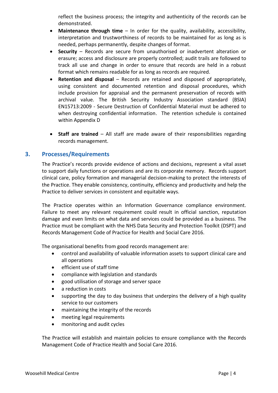reflect the business process; the integrity and authenticity of the records can be demonstrated.

- **Maintenance through time** In order for the quality, availability, accessibility, interpretation and trustworthiness of records to be maintained for as long as is needed, perhaps permanently, despite changes of format.
- **Security** Records are secure from unauthorised or inadvertent alteration or erasure; access and disclosure are properly controlled; audit trails are followed to track all use and change in order to ensure that records are held in a robust format which remains readable for as long as records are required.
- **Retention and disposal** Records are retained and disposed of appropriately, using consistent and documented retention and disposal procedures, which include provision for appraisal and the permanent preservation of records with archival value. The British Security Industry Association standard (BSIA) EN15713:2009 - Secure Destruction of Confidential Material must be adhered to when destroying confidential information. The retention schedule is contained within Appendix D
- <span id="page-3-0"></span>• **Staff are trained** – All staff are made aware of their responsibilities regarding records management.

#### **3. Processes/Requirements**

The Practice's records provide evidence of actions and decisions, represent a vital asset to support daily functions or operations and are its corporate memory. Records support clinical care, policy formation and managerial decision-making to protect the interests of the Practice. They enable consistency, continuity, efficiency and productivity and help the Practice to deliver services in consistent and equitable ways.

The Practice operates within an Information Governance compliance environment. Failure to meet any relevant requirement could result in official sanction, reputation damage and even limits on what data and services could be provided as a business. The Practice must be compliant with the NHS Data Security and Protection Toolkit (DSPT) and Records Management Code of Practice for Health and Social Care 2016.

The organisational benefits from good records management are:

- control and availability of valuable information assets to support clinical care and all operations
- efficient use of staff time
- compliance with legislation and standards
- good utilisation of storage and server space
- a reduction in costs
- supporting the day to day business that underpins the delivery of a high quality service to our customers
- maintaining the integrity of the records
- meeting legal requirements
- monitoring and audit cycles

The Practice will establish and maintain policies to ensure compliance with the Records Management Code of Practice Health and Social Care 2016.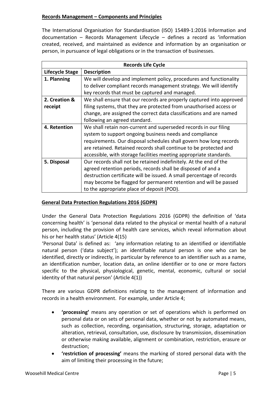#### **Records Management – Components and Principles**

The International Organisation for Standardisation (ISO) 15489-1:2016 Information and documentation – Records Management Lifecycle – defines a record as 'information created, received, and maintained as evidence and information by an organisation or person, in pursuance of legal obligations or in the transaction of businesses.

| <b>Records Life Cycle</b> |                                                                       |  |  |
|---------------------------|-----------------------------------------------------------------------|--|--|
| Lifecycle Stage           | <b>Description</b>                                                    |  |  |
| 1. Planning               | We will develop and implement policy, procedures and functionality    |  |  |
|                           | to deliver compliant records management strategy. We will identify    |  |  |
|                           | key records that must be captured and managed.                        |  |  |
| 2. Creation &             | We shall ensure that our records are properly captured into approved  |  |  |
| receipt                   | filing systems, that they are protected from unauthorised access or   |  |  |
|                           | change, are assigned the correct data classifications and are named   |  |  |
|                           | following an agreed standard.                                         |  |  |
| 4. Retention              | We shall retain non-current and superseded records in our filing      |  |  |
|                           | system to support ongoing business needs and compliance               |  |  |
|                           | requirements. Our disposal schedules shall govern how long records    |  |  |
|                           | are retained. Retained records shall continue to be protected and     |  |  |
|                           | accessible, with storage facilities meeting appropriate standards.    |  |  |
| 5. Disposal               | Our records shall not be retained indefinitely. At the end of the     |  |  |
|                           | agreed retention periods, records shall be disposed of and a          |  |  |
|                           | destruction certificate will be issued. A small percentage of records |  |  |
|                           | may become be flagged for permanent retention and will be passed      |  |  |
|                           | to the appropriate place of deposit (POD).                            |  |  |

#### **General Data Protection Regulations 2016 (GDPR)**

Under the General Data Protection Regulations 2016 (GDPR) the definition of 'data concerning health' is 'personal data related to the physical or mental health of a natural person, including the provision of health care services, which reveal information about his or her health status' (Article 4(15)

'Personal Data' is defined as: 'any information relating to an identified or identifiable natural person ('data subject'); an identifiable natural person is one who can be identified, directly or indirectly, in particular by reference to an identifier such as a name, an identification number, location data, an online identifier or to one or more factors specific to the physical, physiological, genetic, mental, economic, cultural or social identity of that natural person' (Article 4(1))

There are various GDPR definitions relating to the management of information and records in a health environment. For example, under Article 4;

- **'processing'** means any operation or set of operations which is performed on personal data or on sets of personal data, whether or not by automated means, such as collection, recording, organisation, structuring, storage, adaptation or alteration, retrieval, consultation, use, disclosure by transmission, dissemination or otherwise making available, alignment or combination, restriction, erasure or destruction;
- **'restriction of processing'** means the marking of stored personal data with the aim of limiting their processing in the future;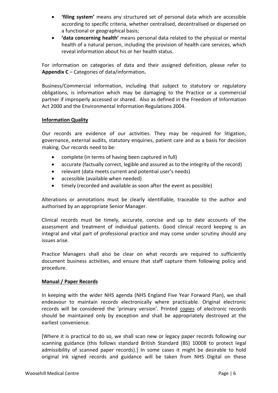- **'filing system'** means any structured set of personal data which are accessible according to specific criteria, whether centralised, decentralised or dispersed on a functional or geographical basis;
- **'data concerning health'** means personal data related to the physical or mental health of a natural person, including the provision of health care services, which reveal information about his or her health status.

For information on categories of data and their assigned definition, please refer to **Appendix C** – Categories of data/information**.**

Business/Commercial information, including that subject to statutory or regulatory obligations, is information which may be damaging to the Practice or a commercial partner if improperly accessed or shared. Also as defined in the Freedom of Information Act 2000 and the Environmental Information Regulations 2004.

#### **Information Quality**

Our records are evidence of our activities. They may be required for litigation, governance, external audits, statutory enquiries, patient care and as a basis for decision making. Our records need to be:

- complete (in terms of having been captured in full)
- accurate (factually correct, legible and assured as to the integrity of the record)
- relevant (data meets current and potential user's needs)
- accessible (available when needed)
- timely (recorded and available as soon after the event as possible)

Alterations or annotations must be clearly identifiable, traceable to the author and authorised by an appropriate Senior Manager.

Clinical records must be timely, accurate, concise and up to date accounts of the assessment and treatment of individual patients. Good clinical record keeping is an integral and vital part of professional practice and may come under scrutiny should any issues arise.

Practice Managers shall also be clear on what records are required to sufficiently document business activities, and ensure that staff capture them following policy and procedure.

#### **Manual / Paper Records**

In keeping with the wider NHS agenda (NHS England Five Year Forward Plan), we shall endeavour to maintain records electronically where practicable. Original electronic records will be considered the 'primary version'. Printed copies of electronic records should be maintained only by exception and shall be appropriately destroyed at the earliest convenience.

[Where it is practical to do so, we shall scan new or legacy paper records following our scanning guidance (this follows standard British Standard (BS) 10008 to protect legal admissibility of scanned paper records).] In some cases it might be desirable to hold original ink signed records and guidance will be taken from NHS Digital on these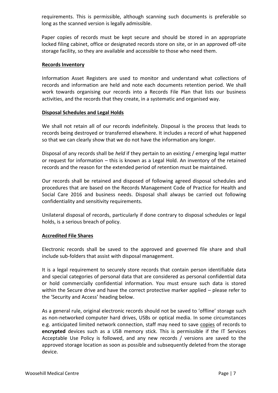requirements. This is permissible, although scanning such documents is preferable so long as the scanned version is legally admissible.

Paper copies of records must be kept secure and should be stored in an appropriate locked filing cabinet, office or designated records store on site, or in an approved off-site storage facility, so they are available and accessible to those who need them.

#### **Records Inventory**

Information Asset Registers are used to monitor and understand what collections of records and information are held and note each documents retention period. We shall work towards organising our records into a Records File Plan that lists our business activities, and the records that they create, in a systematic and organised way.

#### **Disposal Schedules and Legal Holds**

We shall not retain all of our records indefinitely. Disposal is the process that leads to records being destroyed or transferred elsewhere. It includes a record of what happened so that we can clearly show that we do not have the information any longer.

Disposal of any records shall be *held* if they pertain to an existing / emerging legal matter or request for information – this is known as a Legal Hold. An inventory of the retained records and the reason for the extended period of retention must be maintained.

Our records shall be retained and disposed of following agreed disposal schedules and procedures that are based on the Records Management Code of Practice for Health and Social Care 2016 and business needs. Disposal shall always be carried out following confidentiality and sensitivity requirements.

Unilateral disposal of records, particularly if done contrary to disposal schedules or legal holds, is a serious breach of policy.

#### **Accredited File Shares**

Electronic records shall be saved to the approved and governed file share and shall include sub-folders that assist with disposal management.

It is a legal requirement to securely store records that contain person identifiable data and special categories of personal data that are considered as personal confidential data or hold commercially confidential information. You must ensure such data is stored within the Secure drive and have the correct protective marker applied – please refer to the 'Security and Access' heading below.

As a general rule, original electronic records should not be saved to 'offline' storage such as non-networked computer hard drives, USBs or optical media. In some circumstances e.g. anticipated limited network connection, staff may need to save copies of records to **encrypted** devices such as a USB memory stick. This is permissible if the IT Services Acceptable Use Policy is followed, and any new records / versions are saved to the approved storage location as soon as possible and subsequently deleted from the storage device.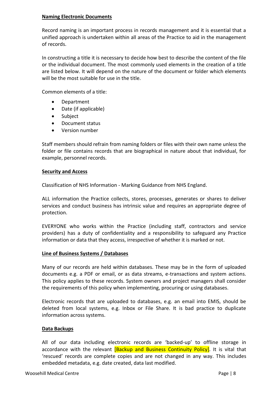#### **Naming Electronic Documents**

Record naming is an important process in records management and it is essential that a unified approach is undertaken within all areas of the Practice to aid in the management of records.

In constructing a title it is necessary to decide how best to describe the content of the file or the individual document. The most commonly used elements in the creation of a title are listed below. It will depend on the nature of the document or folder which elements will be the most suitable for use in the title.

Common elements of a title:

- Department
- Date (if applicable)
- Subject
- Document status
- Version number

Staff members should refrain from naming folders or files with their own name unless the folder or file contains records that are biographical in nature about that individual, for example, personnel records.

#### **Security and Access**

Classification of NHS Information - Marking Guidance from NHS England.

ALL information the Practice collects, stores, processes, generates or shares to deliver services and conduct business has intrinsic value and requires an appropriate degree of protection.

EVERYONE who works within the Practice (including staff, contractors and service providers) has a duty of confidentiality and a responsibility to safeguard any Practice information or data that they access, irrespective of whether it is marked or not.

#### **Line of Business Systems / Databases**

Many of our records are held within databases. These may be in the form of uploaded documents e.g. a PDF or email, or as data streams, e-transactions and system actions. This policy applies to these records. System owners and project managers shall consider the requirements of this policy when implementing, procuring or using databases.

Electronic records that are uploaded to databases, e.g. an email into EMIS, should be deleted from local systems, e.g. Inbox or File Share. It is bad practice to duplicate information across systems.

#### **Data Backups**

All of our data including electronic records are 'backed-up' to offline storage in accordance with the relevant **[Backup and Business Continuity Policy]**. It is vital that 'rescued' records are complete copies and are not changed in any way. This includes embedded metadata, e.g. date created, data last modified.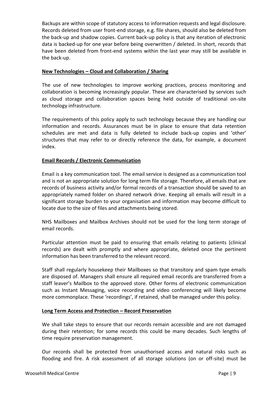Backups are within scope of statutory access to information requests and legal disclosure. Records deleted from user front-end storage, e.g. file shares, should also be deleted from the back-up and shadow copies. Current back-up policy is that any iteration of electronic data is backed-up for one year before being overwritten / deleted. In short, records that have been deleted from front-end systems within the last year may still be available in the back-up.

#### **New Technologies – Cloud and Collaboration / Sharing**

The use of new technologies to improve working practices, process monitoring and collaboration is becoming increasingly popular. These are characterised by services such as cloud storage and collaboration spaces being held outside of traditional on-site technology infrastructure.

The requirements of this policy apply to such technology because they are handling our information and records. Assurances must be in place to ensure that data retention schedules are met and data is fully deleted to include back-up copies and 'other' structures that may refer to or directly reference the data, for example, a document index.

#### **Email Records / Electronic Communication**

Email is a key communication tool. The email service is designed as a communication tool and is not an appropriate solution for long term file storage. Therefore, all emails that are records of business activity and/or formal records of a transaction should be saved to an appropriately named folder on shared network drive. Keeping all emails will result in a significant storage burden to your organisation and information may become difficult to locate due to the size of files and attachments being stored.

NHS Mailboxes and Mailbox Archives should not be used for the long term storage of email records.

Particular attention must be paid to ensuring that emails relating to patients (clinical records) are dealt with promptly and where appropriate, deleted once the pertinent information has been transferred to the relevant record.

Staff shall regularly housekeep their Mailboxes so that transitory and spam type emails are disposed of. Managers shall ensure all required email records are transferred from a staff leaver's Mailbox to the approved store. Other forms of electronic communication such as Instant Messaging, voice recording and video conferencing will likely become more commonplace. These 'recordings', if retained, shall be managed under this policy.

#### **Long Term Access and Protection – Record Preservation**

We shall take steps to ensure that our records remain accessible and are not damaged during their retention; for some records this could be many decades. Such lengths of time require preservation management.

Our records shall be protected from unauthorised access and natural risks such as flooding and fire. A risk assessment of all storage solutions (on or off-site) must be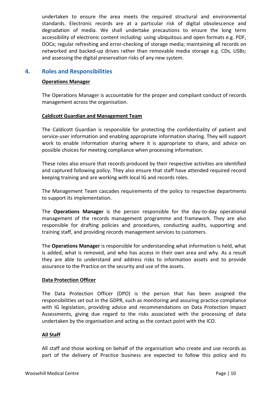undertaken to ensure the area meets the required structural and environmental standards. Electronic records are at a particular risk of digital obsolescence and degradation of media. We shall undertake precautions to ensure the long term accessibility of electronic content including: using ubiquitous and open formats e.g. PDF, DOCx; regular refreshing and error-checking of storage media; maintaining all records on networked and backed-up drives rather than removable media storage e.g. CDs, USBs; and assessing the digital preservation risks of any new system.

#### **4. Roles and Responsibilities**

#### <span id="page-9-0"></span>**Operations Manager**

The Operations Manager is accountable for the proper and compliant conduct of records management across the organisation.

#### **Caldicott Guardian and Management Team**

The Caldicott Guardian is responsible for protecting the confidentiality of patient and service-user information and enabling appropriate information sharing. They will support work to enable information sharing where it is appropriate to share, and advice on possible choices for meeting compliance when processing information.

These roles also ensure that records produced by their respective activities are identified and captured following policy. They also ensure that staff have attended required record keeping training and are working with local IG and records roles.

The Management Team cascades requirements of the policy to respective departments to support its implementation.

The **Operations Manager** is the person responsible for the day-to-day operational management of the records management programme and framework. They are also responsible for drafting policies and procedures, conducting audits, supporting and training staff, and providing records management services to customers.

The **Operations Manager** is responsible for understanding what information is held, what is added, what is removed, and who has access in their own area and why. As a result they are able to understand and address risks to information assets and to provide assurance to the Practice on the security and use of the assets.

#### **Data Protection Officer**

The Data Protection Officer (DPO) is the person that has been assigned the responsibilities set out in the GDPR, such as monitoring and assuring practice compliance with IG legislation, providing advice and recommendations on Data Protection Impact Assessments, giving due regard to the risks associated with the processing of data undertaken by the organisation and acting as the contact point with the ICO.

#### **All Staff**

All staff and those working on behalf of the organisation who create and use records as part of the delivery of Practice business are expected to follow this policy and its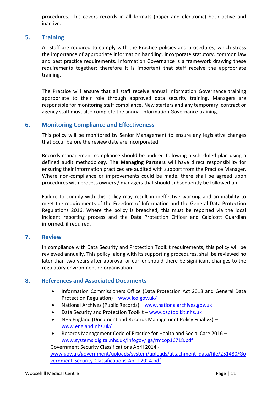procedures. This covers records in all formats (paper and electronic) both active and inactive.

#### **5. Training**

<span id="page-10-0"></span>All staff are required to comply with the Practice policies and procedures, which stress the importance of appropriate information handling, incorporate statutory, common law and best practice requirements. Information Governance is a framework drawing these requirements together; therefore it is important that staff receive the appropriate training.

The Practice will ensure that all staff receive annual Information Governance training appropriate to their role through approved data security training. Managers are responsible for monitoring staff compliance. New starters and any temporary, contract or agency staff must also complete the annual Information Governance training.

#### <span id="page-10-1"></span>**6. Monitoring Compliance and Effectiveness**

This policy will be monitored by Senior Management to ensure any legislative changes that occur before the review date are incorporated.

Records management compliance should be audited following a scheduled plan using a defined audit methodology. **The Managing Partners** will have direct responsibility for ensuring their information practices are audited with support from the Practice Manager. Where non-compliance or improvements could be made, there shall be agreed upon procedures with process owners / managers that should subsequently be followed up.

Failure to comply with this policy may result in ineffective working and an inability to meet the requirements of the Freedom of Information and the General Data Protection Regulations 2016. Where the policy is breached, this must be reported via the local incident reporting process and the Data Protection Officer and Caldicott Guardian informed, if required.

#### <span id="page-10-2"></span>**7. Review**

In compliance with Data Security and Protection Toolkit requirements, this policy will be reviewed annually. This policy, along with its supporting procedures, shall be reviewed no later than two years after approval or earlier should there be significant changes to the regulatory environment or organisation.

#### <span id="page-10-3"></span>**8. References and Associated Documents**

- Information Commissioners Office (Data Protection Act 2018 and General Data Protection Regulation) – [www.ico.gov.uk/](http://www.ico.gov.uk/)
- National Archives (Public Records) [www.nationalarchives.gov.uk](http://www.nationalarchives.gov.uk/)
- Data Security and Protection Toolkit [www.dsptoolkit.nhs.uk](http://www.dsptoolkit.nhs.uk/)
- NHS England (Document and Records Management Policy Final v3) [www.england.nhs.uk/](http://www.england.nhs.uk/)
- Records Management Code of Practice for Health and Social Care 2016 [www.systems.digital.nhs.uk/infogov/iga/rmcop16718.pdf](http://www.systems.digital.nhs.uk/infogov/iga/rmcop16718.pdf)

Government Security Classifications April 2014 -

[www.gov.uk/government/uploads/system/uploads/attachment\\_data/file/251480/Go](http://www.gov.uk/government/uploads/system/uploads/attachment_data/file/251480/Government-Security-Classifications-April-2014.pdf) [vernment-Security-Classifications-April-2014.pdf](http://www.gov.uk/government/uploads/system/uploads/attachment_data/file/251480/Government-Security-Classifications-April-2014.pdf)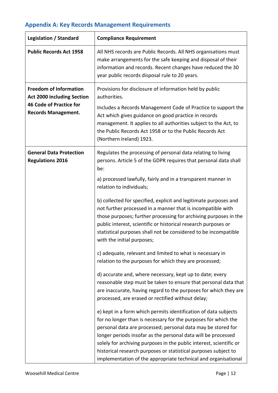# <span id="page-11-0"></span>**Appendix A: Key Records Management Requirements**

<span id="page-11-5"></span><span id="page-11-4"></span><span id="page-11-3"></span><span id="page-11-2"></span><span id="page-11-1"></span>

| <b>Legislation / Standard</b>                                                                                                      | <b>Compliance Requirement</b>                                                                                                                                                                                                                                                                                                                                                                                                                                                                                                                                                                                                                                                                                                                                                                                                                                                                                                                                                                                                                                                                                                                                                                                                                                                                                                                                                                                                                                                  |
|------------------------------------------------------------------------------------------------------------------------------------|--------------------------------------------------------------------------------------------------------------------------------------------------------------------------------------------------------------------------------------------------------------------------------------------------------------------------------------------------------------------------------------------------------------------------------------------------------------------------------------------------------------------------------------------------------------------------------------------------------------------------------------------------------------------------------------------------------------------------------------------------------------------------------------------------------------------------------------------------------------------------------------------------------------------------------------------------------------------------------------------------------------------------------------------------------------------------------------------------------------------------------------------------------------------------------------------------------------------------------------------------------------------------------------------------------------------------------------------------------------------------------------------------------------------------------------------------------------------------------|
| <b>Public Records Act 1958</b>                                                                                                     | All NHS records are Public Records. All NHS organisations must<br>make arrangements for the safe keeping and disposal of their<br>information and records. Recent changes have reduced the 30<br>year public records disposal rule to 20 years.                                                                                                                                                                                                                                                                                                                                                                                                                                                                                                                                                                                                                                                                                                                                                                                                                                                                                                                                                                                                                                                                                                                                                                                                                                |
| <b>Freedom of Information</b><br><b>Act 2000 including Section</b><br><b>46 Code of Practice for</b><br><b>Records Management.</b> | Provisions for disclosure of information held by public<br>authorities.<br>Includes a Records Management Code of Practice to support the<br>Act which gives guidance on good practice in records<br>management. It applies to all authorities subject to the Act, to<br>the Public Records Act 1958 or to the Public Records Act<br>(Northern Ireland) 1923.                                                                                                                                                                                                                                                                                                                                                                                                                                                                                                                                                                                                                                                                                                                                                                                                                                                                                                                                                                                                                                                                                                                   |
| <b>General Data Protection</b><br><b>Regulations 2016</b>                                                                          | Regulates the processing of personal data relating to living<br>persons. Article 5 of the GDPR requires that personal data shall<br>be:<br>a) processed lawfully, fairly and in a transparent manner in<br>relation to individuals;<br>b) collected for specified, explicit and legitimate purposes and<br>not further processed in a manner that is incompatible with<br>those purposes; further processing for archiving purposes in the<br>public interest, scientific or historical research purposes or<br>statistical purposes shall not be considered to be incompatible<br>with the initial purposes;<br>c) adequate, relevant and limited to what is necessary in<br>relation to the purposes for which they are processed;<br>d) accurate and, where necessary, kept up to date; every<br>reasonable step must be taken to ensure that personal data that<br>are inaccurate, having regard to the purposes for which they are<br>processed, are erased or rectified without delay;<br>e) kept in a form which permits identification of data subjects<br>for no longer than is necessary for the purposes for which the<br>personal data are processed; personal data may be stored for<br>longer periods insofar as the personal data will be processed<br>solely for archiving purposes in the public interest, scientific or<br>historical research purposes or statistical purposes subject to<br>implementation of the appropriate technical and organisational |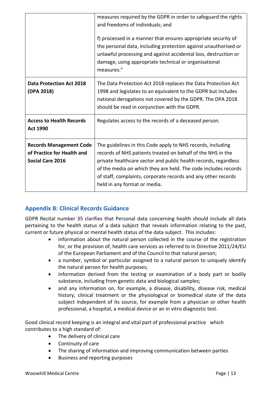<span id="page-12-0"></span>

|                                                                                         | measures required by the GDPR in order to safeguard the rights<br>and freedoms of individuals; and<br>f) processed in a manner that ensures appropriate security of<br>the personal data, including protection against unauthorised or<br>unlawful processing and against accidental loss, destruction or<br>damage, using appropriate technical or organisational<br>measures." |
|-----------------------------------------------------------------------------------------|----------------------------------------------------------------------------------------------------------------------------------------------------------------------------------------------------------------------------------------------------------------------------------------------------------------------------------------------------------------------------------|
| <b>Data Protection Act 2018</b><br>(DPA 2018)                                           | The Data Protection Act 2018 replaces the Data Protection Act<br>1998 and legislates to an equivalent to the GDPR but includes<br>national derogations not covered by the GDPR. The DPA 2018<br>should be read in conjunction with the GDPR.                                                                                                                                     |
| <b>Access to Health Records</b><br><b>Act 1990</b>                                      | Regulates access to the records of a deceased person.                                                                                                                                                                                                                                                                                                                            |
| <b>Records Management Code</b><br>of Practice for Health and<br><b>Social Care 2016</b> | The guidelines in this Code apply to NHS records, including<br>records of NHS patients treated on behalf of the NHS in the<br>private healthcare sector and public health records, regardless<br>of the media on which they are held. The code includes records<br>of staff, complaints, corporate records and any other records<br>held in any format or media.                 |

# <span id="page-12-2"></span><span id="page-12-1"></span>**Appendix B: Clinical Records Guidance**

GDPR Recital number 35 clarifies that Personal data concerning health should include all data pertaining to the health status of a data subject that reveals information relating to the past, current or future physical or mental health status of the data subject. This includes:

- information about the natural person collected in the course of the registration for, or the provision of, health care services as referred to in Directive 2011/24/EU of the European Parliament and of the Council to that natural person;
- a number, symbol or particular assigned to a natural person to uniquely identify the natural person for health purposes;
- information derived from the testing or examination of a body part or bodily substance, including from genetic data and biological samples;
- and any information on, for example, a disease, disability, disease risk, medical history, clinical treatment or the physiological or biomedical state of the data subject independent of its source, for example from a physician or other health professional, a hospital, a medical device or an in vitro diagnostic test.

Good clinical record keeping is an integral and vital part of professional practice which contributes to a high standard of:

- The delivery of clinical care
- Continuity of care
- The sharing of information and improving communication between parties
- Business and reporting purposes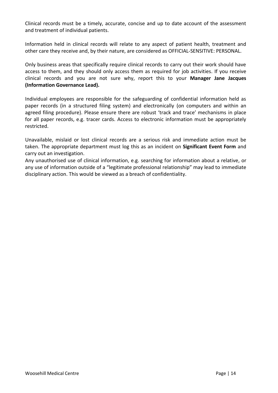Clinical records must be a timely, accurate, concise and up to date account of the assessment and treatment of individual patients.

Information held in clinical records will relate to any aspect of patient health, treatment and other care they receive and, by their nature, are considered as OFFICIAL-SENSITIVE: PERSONAL.

Only business areas that specifically require clinical records to carry out their work should have access to them, and they should only access them as required for job activities. If you receive clinical records and you are not sure why, report this to your **Manager Jane Jacques (Information Governance Lead).**

Individual employees are responsible for the safeguarding of confidential information held as paper records (in a structured filing system) and electronically (on computers and within an agreed filing procedure). Please ensure there are robust 'track and trace' mechanisms in place for all paper records, e.g. tracer cards. Access to electronic information must be appropriately restricted.

Unavailable, mislaid or lost clinical records are a serious risk and immediate action must be taken. The appropriate department must log this as an incident on **Significant Event Form** and carry out an investigation.

Any unauthorised use of clinical information, e.g. searching for information about a relative, or any use of information outside of a "legitimate professional relationship" may lead to immediate disciplinary action. This would be viewed as a breach of confidentiality.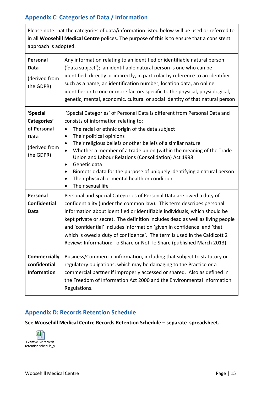# <span id="page-14-0"></span>**Appendix C: Categories of Data / Information**

Please note that the categories of data/information listed below will be used or referred to in all **Woosehill Medical Centre** polices. The purpose of this is to ensure that a consistent approach is adopted.

| Personal<br><b>Data</b><br>(derived from<br>the GDPR)                               | Any information relating to an identified or identifiable natural person<br>('data subject'); an identifiable natural person is one who can be<br>identified, directly or indirectly, in particular by reference to an identifier<br>such as a name, an identification number, location data, an online<br>identifier or to one or more factors specific to the physical, physiological,<br>genetic, mental, economic, cultural or social identity of that natural person                                                                                                                                                                                |
|-------------------------------------------------------------------------------------|----------------------------------------------------------------------------------------------------------------------------------------------------------------------------------------------------------------------------------------------------------------------------------------------------------------------------------------------------------------------------------------------------------------------------------------------------------------------------------------------------------------------------------------------------------------------------------------------------------------------------------------------------------|
| 'Special<br>Categories'<br>of Personal<br><b>Data</b><br>(derived from<br>the GDPR) | 'Special Categories' of Personal Data is different from Personal Data and<br>consists of information relating to:<br>The racial or ethnic origin of the data subject<br>$\bullet$<br>Their political opinions<br>$\bullet$<br>Their religious beliefs or other beliefs of a similar nature<br>$\bullet$<br>Whether a member of a trade union (within the meaning of the Trade<br>$\bullet$<br>Union and Labour Relations (Consolidation) Act 1998<br>Genetic data<br>$\bullet$<br>Biometric data for the purpose of uniquely identifying a natural person<br>$\bullet$<br>Their physical or mental health or condition<br>$\bullet$<br>Their sexual life |
| Personal<br><b>Confidential</b><br><b>Data</b>                                      | Personal and Special Categories of Personal Data are owed a duty of<br>confidentiality (under the common law). This term describes personal<br>information about identified or identifiable individuals, which should be<br>kept private or secret. The definition includes dead as well as living people<br>and 'confidential' includes information 'given in confidence' and 'that<br>which is owed a duty of confidence'. The term is used in the Caldicott 2<br>Review: Information: To Share or Not To Share (published March 2013).                                                                                                                |
| <b>Commercially</b><br>confidential<br><b>Information</b>                           | Business/Commercial information, including that subject to statutory or<br>regulatory obligations, which may be damaging to the Practice or a<br>commercial partner if improperly accessed or shared. Also as defined in<br>the Freedom of Information Act 2000 and the Environmental Information<br>Regulations.                                                                                                                                                                                                                                                                                                                                        |

### <span id="page-14-1"></span>**Appendix D: Records Retention Schedule**

**See Woosehill Medical Centre Records Retention Schedule – separate spreadsheet.**